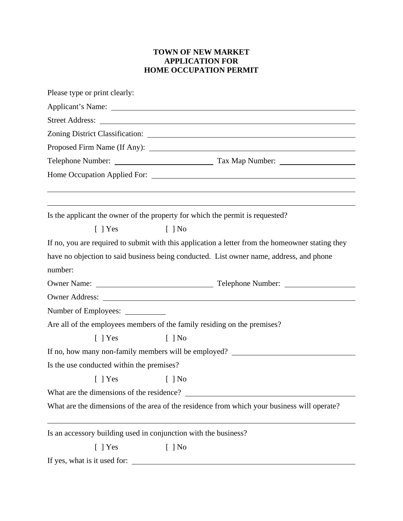## **TOWN OF NEW MARKET APPLICATION FOR HOME OCCUPATION PERMIT**

| Please type or print clearly:                                                                    |  |
|--------------------------------------------------------------------------------------------------|--|
|                                                                                                  |  |
|                                                                                                  |  |
|                                                                                                  |  |
|                                                                                                  |  |
|                                                                                                  |  |
|                                                                                                  |  |
|                                                                                                  |  |
|                                                                                                  |  |
| Is the applicant the owner of the property for which the permit is requested?                    |  |
| $[$   Yes<br>$\lceil \; \rceil$ No                                                               |  |
| If no, you are required to submit with this application a letter from the homeowner stating they |  |
| have no objection to said business being conducted. List owner name, address, and phone          |  |
| number:                                                                                          |  |
|                                                                                                  |  |
|                                                                                                  |  |
|                                                                                                  |  |
| Are all of the employees members of the family residing on the premises?                         |  |
| $\lceil$   Yes<br>$[$   No                                                                       |  |
| If no, how many non-family members will be employed?                                             |  |
| Is the use conducted within the premises?                                                        |  |
| $[$   Yes<br>$[$ ] No                                                                            |  |
| What are the dimensions of the residence?                                                        |  |
| What are the dimensions of the area of the residence from which your business will operate?      |  |
| Is an accessory building used in conjunction with the business?                                  |  |
| $[$ ] Yes<br>$[$ ] No                                                                            |  |
| If yes, what is it used for:                                                                     |  |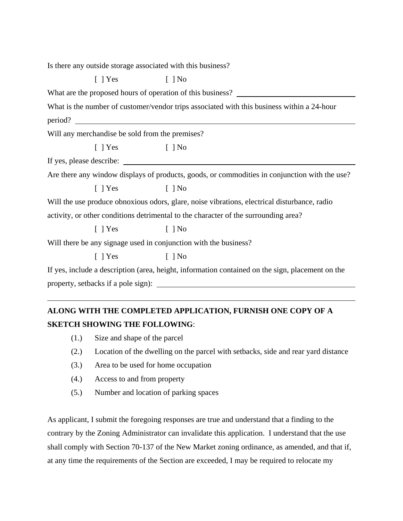| Is there any outside storage associated with this business?                                  |                                                                                                  |  |
|----------------------------------------------------------------------------------------------|--------------------------------------------------------------------------------------------------|--|
| $[$   Yes                                                                                    | $[$   No                                                                                         |  |
|                                                                                              | What are the proposed hours of operation of this business?                                       |  |
|                                                                                              | What is the number of customer/vendor trips associated with this business within a 24-hour       |  |
|                                                                                              |                                                                                                  |  |
| Will any merchandise be sold from the premises?                                              |                                                                                                  |  |
| $[ ]$ Yes $[ ]$ No                                                                           |                                                                                                  |  |
|                                                                                              |                                                                                                  |  |
|                                                                                              | Are there any window displays of products, goods, or commodities in conjunction with the use?    |  |
| [ ] Yes [ ] No                                                                               |                                                                                                  |  |
| Will the use produce obnoxious odors, glare, noise vibrations, electrical disturbance, radio |                                                                                                  |  |
| activity, or other conditions detrimental to the character of the surrounding area?          |                                                                                                  |  |
| $[$   Yes                                                                                    | $[$   No                                                                                         |  |
| Will there be any signage used in conjunction with the business?                             |                                                                                                  |  |
| $[ ]$ Yes $[ ]$ No                                                                           |                                                                                                  |  |
|                                                                                              | If yes, include a description (area, height, information contained on the sign, placement on the |  |
|                                                                                              |                                                                                                  |  |
|                                                                                              |                                                                                                  |  |

## **ALONG WITH THE COMPLETED APPLICATION, FURNISH ONE COPY OF A SKETCH SHOWING THE FOLLOWING**:

- (1.) Size and shape of the parcel
- (2.) Location of the dwelling on the parcel with setbacks, side and rear yard distance
- (3.) Area to be used for home occupation
- (4.) Access to and from property
- (5.) Number and location of parking spaces

As applicant, I submit the foregoing responses are true and understand that a finding to the contrary by the Zoning Administrator can invalidate this application. I understand that the use shall comply with Section 70-137 of the New Market zoning ordinance, as amended, and that if, at any time the requirements of the Section are exceeded, I may be required to relocate my